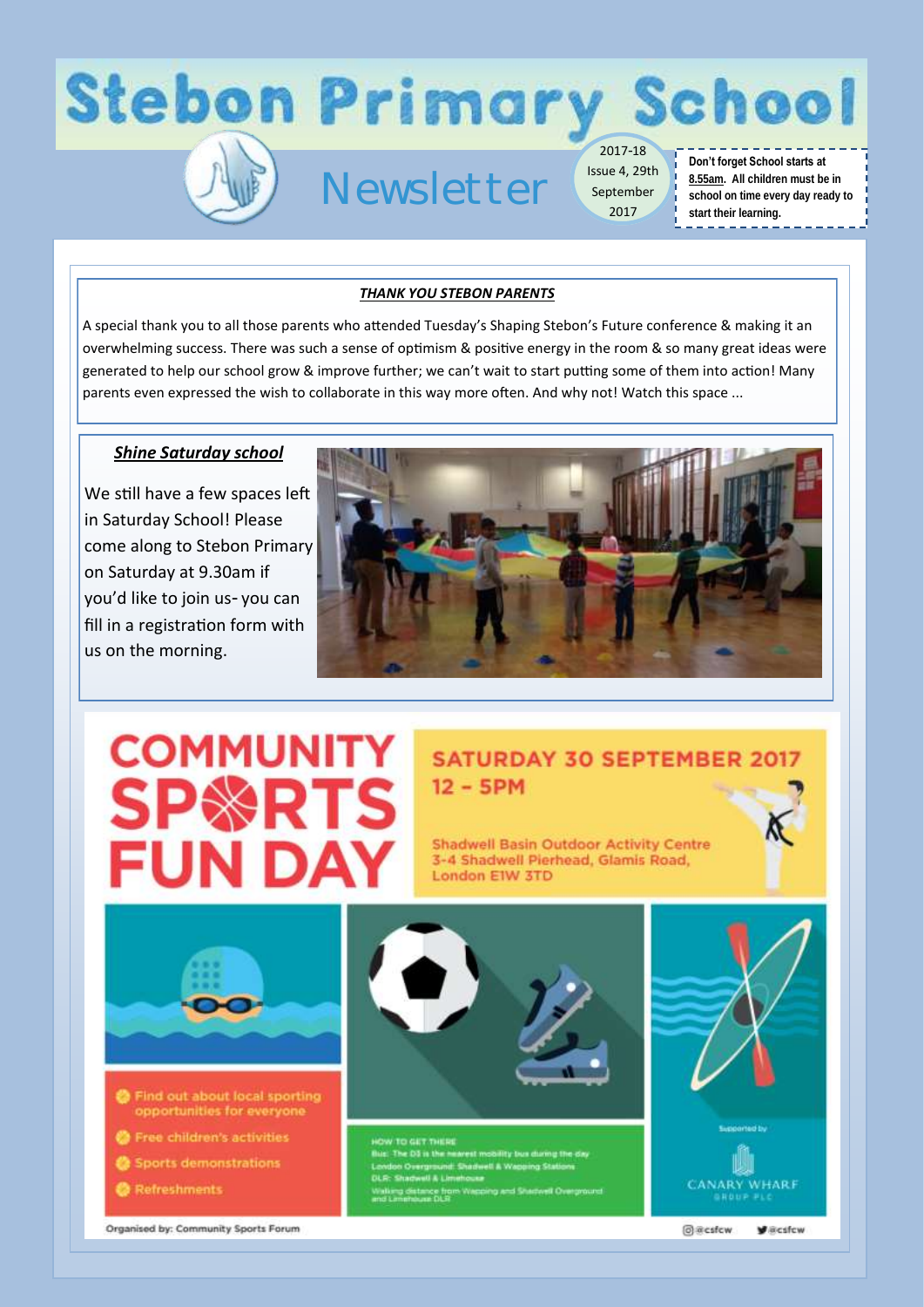

## Newsletter

Issue 4, 29th September 2017

#### **Don't forget School starts at 8.55am. All children must be in school on time every day ready to start their learning.** <u>. . . . . . . . . . . . . .</u>

#### *THANK YOU STEBON PARENTS*

A special thank you to all those parents who attended Tuesday's Shaping Stebon's Future conference & making it an overwhelming success. There was such a sense of optimism & positive energy in the room & so many great ideas were generated to help our school grow & improve further; we can't wait to start putting some of them into action! Many parents even expressed the wish to collaborate in this way more often. And why not! Watch this space ...

#### *Shine Saturday school*

We still have a few spaces left in Saturday School! Please come along to Stebon Primary on Saturday at 9.30am if you'd like to join us- you can fill in a registration form with us on the morning.



# **COMMUNITY SP\*RTS** FUN DAY

### **SATURDAY 30 SEPTEMBER 2017**  $12 - 5$ PM

**Shadwell Basin Outdoor Activity Centre** 3-4 Shadwell Pierhead, Glamis Road, London EIW 3TD



Organised by: Community Sports Forum

@@csfcw

**V** acsfcw